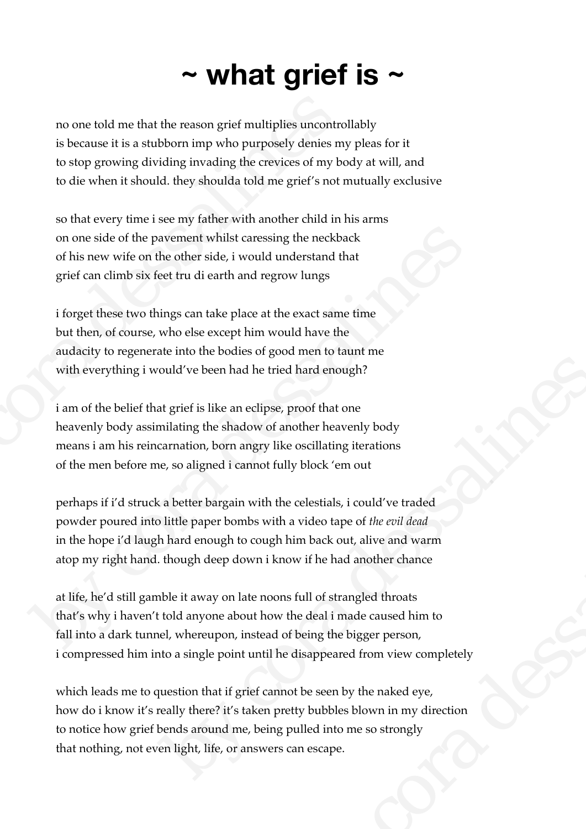## **~ what grief is ~**

no one told me that the reason grief multiplies uncontrollably is because it is a stubborn imp who purposely denies my pleas for it to stop growing dividing invading the crevices of my body at will, and to die when it should. they shoulda told me grief's not mutually exclusive no one told me that the reason grief multiplies uncontrol<br>is because it is a stubborn imp who purposely denies my<br>to stop growing dividing invading the crevices of my bot<br>of die when it should. they shoulda told me grief's

so that every time i see my father with another child in his arms on one side of the pavement whilst caressing the neckback of his new wife on the other side, i would understand that grief can climb six feet tru di earth and regrow lungs

i forget these two things can take place at the exact same time but then, of course, who else except him would have the audacity to regenerate into the bodies of good men to taunt me with everything i would've been had he tried hard enough?

i am of the belief that grief is like an eclipse, proof that one heavenly body assimilating the shadow of another heavenly body means i am his reincarnation, born angry like oscillating iterations of the men before me, so aligned i cannot fully block 'em out

perhaps if i'd struck a better bargain with the celestials, i could've traded powder poured into little paper bombs with a video tape of *the evil dead* in the hope i'd laugh hard enough to cough him back out, alive and warm atop my right hand. though deep down i know if he had another chance on one side of the pavement whilst careesing the neckback<br>of his new wife on the other side, i would understand that<br>grief can climb six feet tru di earth and regrow lungs<br>if orget these two things can take place at the e

at life, he'd still gamble it away on late noons full of strangled throats that's why i haven't told anyone about how the deal i made caused him to fall into a dark tunnel, whereupon, instead of being the bigger person, i compressed him into a single point until he disappeared from view completely ould've been had he tried hard enough?<br>
at grief is like an eclipse, proof that one<br>
milating the shadow of another heavenly body<br>
carmation, born angry like oscillating iterations<br>
e, so aligned i cannot fully block 'em o e celestials, i could've traded<br>a video tape of *the evil dead*<br>im back out, alive and warm<br>ow if he had another chance<br>s full of strangled throats<br>the deal i made caused him to<br>f being the bigger person,<br>disappeared from

which leads me to question that if grief cannot be seen by the naked eye, how do i know it's really there? it's taken pretty bubbles blown in my direction to notice how grief bends around me, being pulled into me so strongly that nothing, not even light, life, or answers can escape.